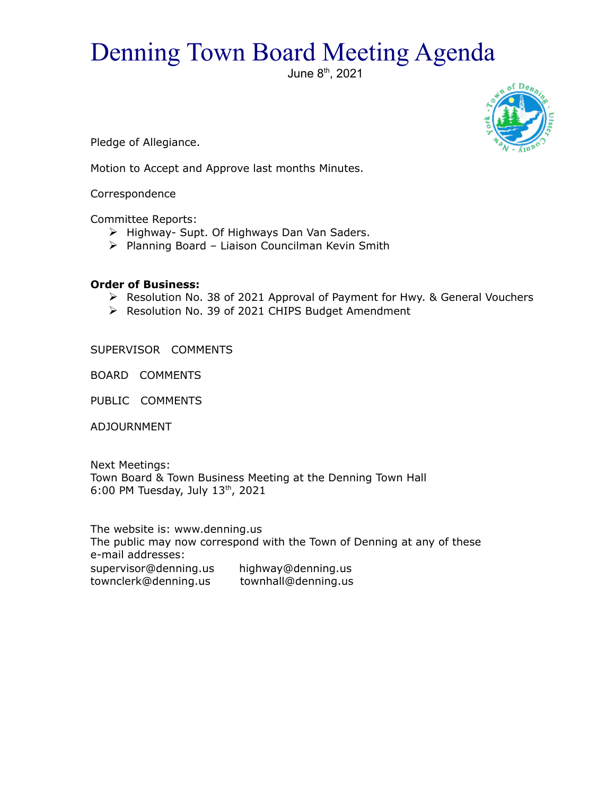## Denning Town Board Meeting Agenda

June 8th, 2021



Pledge of Allegiance.

Motion to Accept and Approve last months Minutes.

Correspondence

Committee Reports:

- $\triangleright$  Highway- Supt. Of Highways Dan Van Saders.
- $\triangleright$  Planning Board Liaison Councilman Kevin Smith

## **Order of Business:**

- Resolution No. 38 of 2021 Approval of Payment for Hwy. & General Vouchers
- ▶ Resolution No. 39 of 2021 CHIPS Budget Amendment

SUPERVISOR COMMENTS

BOARD COMMENTS

PUBLIC COMMENTS

ADJOURNMENT

Next Meetings: Town Board & Town Business Meeting at the Denning Town Hall 6:00 PM Tuesday, July  $13<sup>th</sup>$ , 2021

The website is: www.denning.us The public may now correspond with the Town of Denning at any of these e-mail addresses: supervisor@denning.us highway@denning.us townclerk@denning.us townhall@denning.us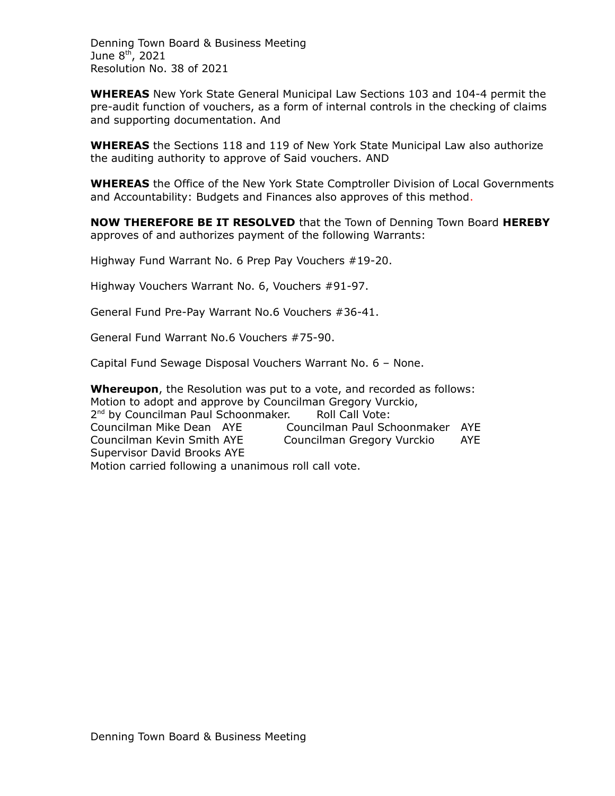Denning Town Board & Business Meeting June  $8<sup>th</sup>$ , 2021 Resolution No. 38 of 2021

**WHEREAS** New York State General Municipal Law Sections 103 and 104-4 permit the pre-audit function of vouchers, as a form of internal controls in the checking of claims and supporting documentation. And

**WHEREAS** the Sections 118 and 119 of New York State Municipal Law also authorize the auditing authority to approve of Said vouchers. AND

**WHEREAS** the Office of the New York State Comptroller Division of Local Governments and Accountability: Budgets and Finances also approves of this method.

**NOW THEREFORE BE IT RESOLVED** that the Town of Denning Town Board **HEREBY** approves of and authorizes payment of the following Warrants:

Highway Fund Warrant No. 6 Prep Pay Vouchers #19-20.

Highway Vouchers Warrant No. 6, Vouchers #91-97.

General Fund Pre-Pay Warrant No.6 Vouchers #36-41.

General Fund Warrant No.6 Vouchers #75-90.

Capital Fund Sewage Disposal Vouchers Warrant No. 6 – None.

**Whereupon**, the Resolution was put to a vote, and recorded as follows: Motion to adopt and approve by Councilman Gregory Vurckio, 2<sup>nd</sup> by Councilman Paul Schoonmaker. Roll Call Vote: Councilman Mike Dean AYE Councilman Paul Schoonmaker AYE Councilman Kevin Smith AYE Councilman Gregory Vurckio AYE Supervisor David Brooks AYE Motion carried following a unanimous roll call vote.